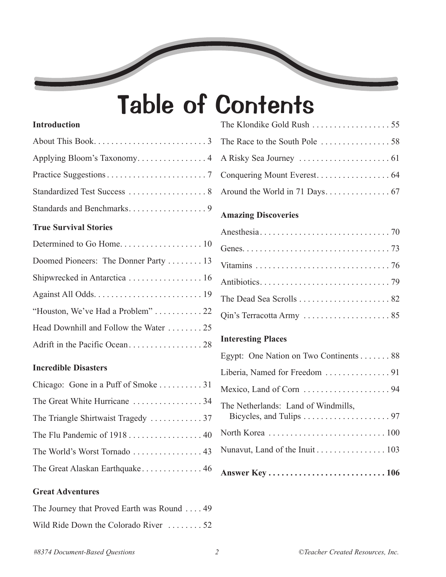# Table of Contents

#### **Introduction**

 $\overline{\phantom{a}}$ 

### **True Survival Stories**

| Doomed Pioneers: The Donner Party  13  |
|----------------------------------------|
|                                        |
|                                        |
| "Houston, We've Had a Problem" 22      |
| Head Downhill and Follow the Water  25 |
|                                        |

### **Incredible Disasters**

| Chicago: Gone in a Puff of Smoke 31 |  |
|-------------------------------------|--|
| The Great White Hurricane 34        |  |
| The Triangle Shirtwaist Tragedy 37  |  |
|                                     |  |
| The World's Worst Tornado  43       |  |
| The Great Alaskan Earthquake 46     |  |

### **Great Adventures**

| The Journey that Proved Earth was Round  49 |  |
|---------------------------------------------|--|
| Wild Ride Down the Colorado River 52        |  |

| TUDITUD II                                                     |  |
|----------------------------------------------------------------|--|
| The Klondike Gold Rush $\ldots \ldots \ldots \ldots \ldots 55$ |  |
| $\ldots$ 3 The Race to the South Pole $\ldots$ 58              |  |
|                                                                |  |

### **Amazing Discoveries**

### **Interesting Places**

| Egypt: One Nation on Two Continents 88 |
|----------------------------------------|
|                                        |
|                                        |
| The Netherlands: Land of Windmills,    |
|                                        |
|                                        |
|                                        |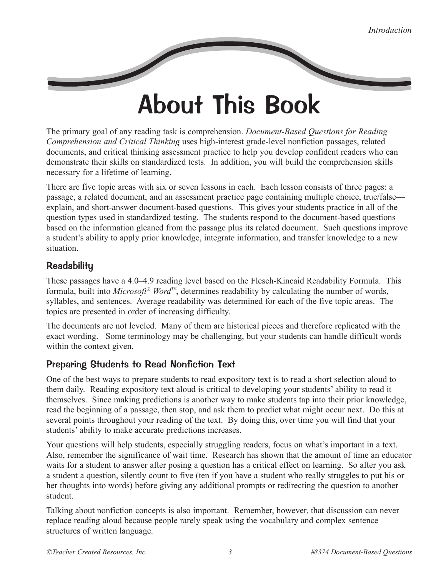## About This Book

The primary goal of any reading task is comprehension. *Document-Based Questions for Reading Comprehension and Critical Thinking* uses high-interest grade-level nonfiction passages, related documents, and critical thinking assessment practice to help you develop confident readers who can demonstrate their skills on standardized tests. In addition, you will build the comprehension skills necessary for a lifetime of learning.

There are five topic areas with six or seven lessons in each. Each lesson consists of three pages: a passage, a related document, and an assessment practice page containing multiple choice, true/false explain, and short-answer document-based questions. This gives your students practice in all of the question types used in standardized testing. The students respond to the document-based questions based on the information gleaned from the passage plus its related document. Such questions improve a student's ability to apply prior knowledge, integrate information, and transfer knowledge to a new situation.

### **Readability**

These passages have a 4.0–4.9 reading level based on the Flesch-Kincaid Readability Formula. This formula, built into *Microsoft® Word™*, determines readability by calculating the number of words, syllables, and sentences. Average readability was determined for each of the five topic areas. The topics are presented in order of increasing difficulty.

The documents are not leveled. Many of them are historical pieces and therefore replicated with the exact wording. Some terminology may be challenging, but your students can handle difficult words within the context given.

### Preparing Students to Read Nonfiction Text

One of the best ways to prepare students to read expository text is to read a short selection aloud to them daily. Reading expository text aloud is critical to developing your students' ability to read it themselves. Since making predictions is another way to make students tap into their prior knowledge, read the beginning of a passage, then stop, and ask them to predict what might occur next. Do this at several points throughout your reading of the text. By doing this, over time you will find that your students' ability to make accurate predictions increases.

Your questions will help students, especially struggling readers, focus on what's important in a text. Also, remember the significance of wait time. Research has shown that the amount of time an educator waits for a student to answer after posing a question has a critical effect on learning. So after you ask a student a question, silently count to five (ten if you have a student who really struggles to put his or her thoughts into words) before giving any additional prompts or redirecting the question to another student.

Talking about nonfiction concepts is also important. Remember, however, that discussion can never replace reading aloud because people rarely speak using the vocabulary and complex sentence structures of written language.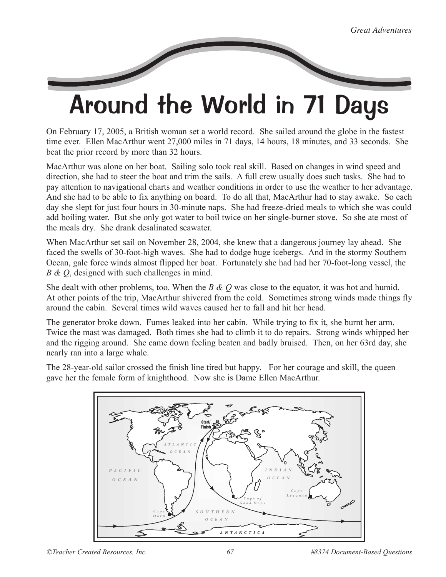## Around the World in 71 Days

On February 17, 2005, a British woman set a world record. She sailed around the globe in the fastest time ever. Ellen MacArthur went 27,000 miles in 71 days, 14 hours, 18 minutes, and 33 seconds. She beat the prior record by more than 32 hours.

MacArthur was alone on her boat. Sailing solo took real skill. Based on changes in wind speed and direction, she had to steer the boat and trim the sails. A full crew usually does such tasks. She had to pay attention to navigational charts and weather conditions in order to use the weather to her advantage. And she had to be able to fix anything on board. To do all that, MacArthur had to stay awake. So each day she slept for just four hours in 30-minute naps. She had freeze-dried meals to which she was could add boiling water. But she only got water to boil twice on her single-burner stove. So she ate most of the meals dry. She drank desalinated seawater.

When MacArthur set sail on November 28, 2004, she knew that a dangerous journey lay ahead. She faced the swells of 30-foot-high waves. She had to dodge huge icebergs. And in the stormy Southern Ocean, gale force winds almost flipped her boat. Fortunately she had had her 70-foot-long vessel, the *B & Q*, designed with such challenges in mind.

She dealt with other problems, too. When the *B & Q* was close to the equator, it was hot and humid. At other points of the trip, MacArthur shivered from the cold. Sometimes strong winds made things fly around the cabin. Several times wild waves caused her to fall and hit her head.

The generator broke down. Fumes leaked into her cabin. While trying to fix it, she burnt her arm. Twice the mast was damaged. Both times she had to climb it to do repairs. Strong winds whipped her and the rigging around. She came down feeling beaten and badly bruised. Then, on her 63rd day, she nearly ran into a large whale.

The 28-year-old sailor crossed the finish line tired but happy. For her courage and skill, the queen gave her the female form of knighthood. Now she is Dame Ellen MacArthur.

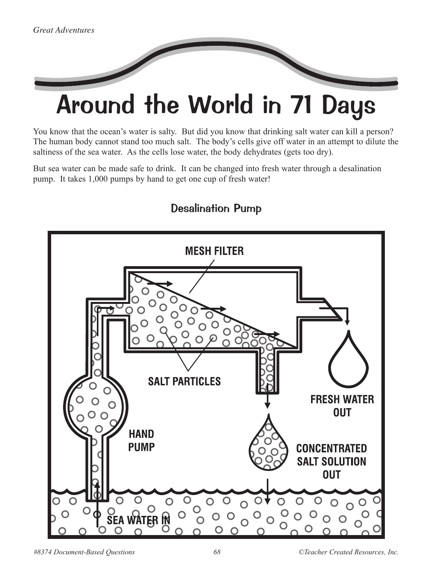# Around the World in 71 Days

You know that the ocean's water is salty. But did you know that drinking salt water can kill a person? The human body cannot stand too much salt. The body's cells give off water in an attempt to dilute the saltiness of the sea water. As the cells lose water, the body dehydrates (gets too dry).

But sea water can be made safe to drink. It can be changed into fresh water through a desalination pump. It takes 1,000 pumps by hand to get one cup of fresh water!



## Desalination Pump

*#8374 Document-Based Questions 68 ©Teacher Created Resources, Inc.*